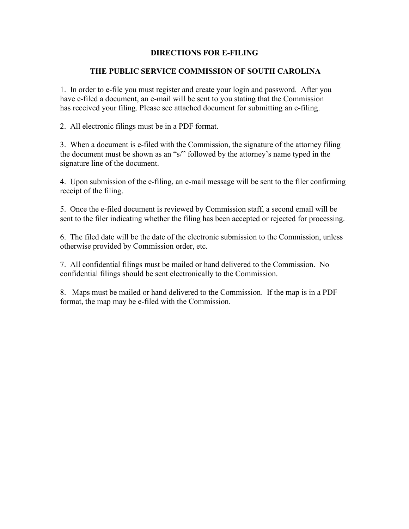### **DIRECTIONS FOR E-FILING**

#### **THE PUBLIC SERVICE COMMISSION OF SOUTH CAROLINA**

1. In order to e-file you must register and create your login and password. After you have e-filed a document, an e-mail will be sent to you stating that the Commission has received your filing. Please see attached document for submitting an e-filing.

2. All electronic filings must be in a PDF format.

3. When a document is e-filed with the Commission, the signature of the attorney filing the document must be shown as an "s/" followed by the attorney's name typed in the signature line of the document.

4. Upon submission of the e-filing, an e-mail message will be sent to the filer confirming receipt of the filing.

5. Once the e-filed document is reviewed by Commission staff, a second email will be sent to the filer indicating whether the filing has been accepted or rejected for processing.

6. The filed date will be the date of the electronic submission to the Commission, unless otherwise provided by Commission order, etc.

7. All confidential filings must be mailed or hand delivered to the Commission. No confidential filings should be sent electronically to the Commission.

8. Maps must be mailed or hand delivered to the Commission. If the map is in a PDF format, the map may be e-filed with the Commission.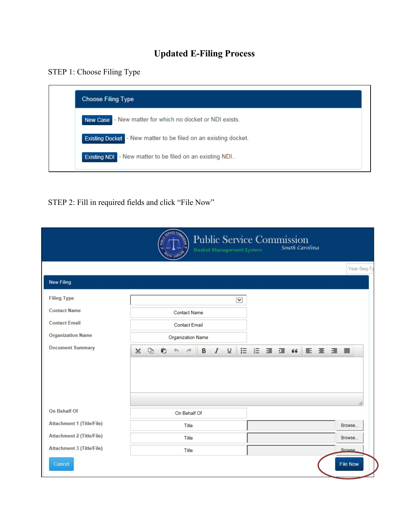# **Updated E-Filing Process**

## STEP 1: Choose Filing Type



STEP 2: Fill in required fields and click "File Now"

|                                  | <b>Public Service Commission</b><br>South Carolina<br><b>Docket Management System</b>         |               |
|----------------------------------|-----------------------------------------------------------------------------------------------|---------------|
|                                  |                                                                                               | Year-Seq-T    |
| <b>New Filing</b>                |                                                                                               |               |
| <b>Filing Type</b>               | $\checkmark$                                                                                  |               |
| <b>Contact Name</b>              | <b>Contact Name</b>                                                                           |               |
| <b>Contact Email</b>             | <b>Contact Email</b>                                                                          |               |
| <b>Organization Name</b>         | <b>Organization Name</b>                                                                      |               |
| <b>Document Summary</b>          | 10 日 道 道 4 日 章 章 重 ■<br>$\overline{\mathsf{u}}$<br>Ĉ<br>$\chi$<br>$\mathbb{D}$<br>B<br>I<br>P |               |
|                                  |                                                                                               |               |
|                                  |                                                                                               |               |
| On Behalf Of                     | On Behalf Of                                                                                  | $\ddot{m}$    |
| <b>Attachment 1 (Title/File)</b> | Title                                                                                         | Browse        |
| <b>Attachment 2 (Title/File)</b> | Title                                                                                         | Browse        |
| <b>Attachment 3 (Title/File)</b> | Title                                                                                         | <b>Rrowse</b> |
|                                  |                                                                                               |               |